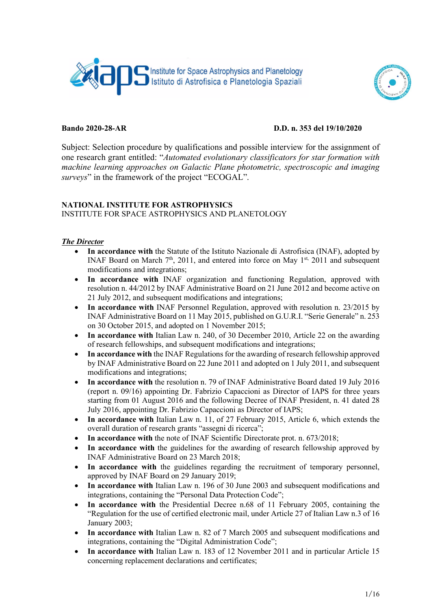



### Bando 2020-28-AR D.D. n. 353 del 19/10/2020

Subject: Selection procedure by qualifications and possible interview for the assignment of one research grant entitled: "Automated evolutionary classificators for star formation with machine learning approaches on Galactic Plane photometric, spectroscopic and imaging surveys" in the framework of the project "ECOGAL".

## NATIONAL INSTITUTE FOR ASTROPHYSICS

### INSTITUTE FOR SPACE ASTROPHYSICS AND PLANETOLOGY

## The Director

- In accordance with the Statute of the Istituto Nazionale di Astrofisica (INAF), adopted by INAF Board on March  $7<sup>th</sup>$ , 2011, and entered into force on May  $1<sup>st</sup>$ , 2011 and subsequent modifications and integrations;
- In accordance with INAF organization and functioning Regulation, approved with resolution n. 44/2012 by INAF Administrative Board on 21 June 2012 and become active on 21 July 2012, and subsequent modifications and integrations;
- In accordance with INAF Personnel Regulation, approved with resolution n. 23/2015 by INAF Administrative Board on 11 May 2015, published on G.U.R.I. "Serie Generale" n. 253 on 30 October 2015, and adopted on 1 November 2015;
- In accordance with Italian Law n. 240, of 30 December 2010, Article 22 on the awarding of research fellowships, and subsequent modifications and integrations;
- In accordance with the INAF Regulations for the awarding of research fellowship approved by INAF Administrative Board on 22 June 2011 and adopted on 1 July 2011, and subsequent modifications and integrations;
- In accordance with the resolution n. 79 of INAF Administrative Board dated 19 July 2016 (report n. 09/16) appointing Dr. Fabrizio Capaccioni as Director of IAPS for three years starting from 01 August 2016 and the following Decree of INAF President, n. 41 dated 28 July 2016, appointing Dr. Fabrizio Capaccioni as Director of IAPS;
- In accordance with Italian Law n. 11, of 27 February 2015, Article 6, which extends the overall duration of research grants "assegni di ricerca";
- In accordance with the note of INAF Scientific Directorate prot. n. 673/2018;
- In accordance with the guidelines for the awarding of research fellowship approved by INAF Administrative Board on 23 March 2018;
- In accordance with the guidelines regarding the recruitment of temporary personnel, approved by INAF Board on 29 January 2019;
- In accordance with Italian Law n. 196 of 30 June 2003 and subsequent modifications and integrations, containing the "Personal Data Protection Code";
- In accordance with the Presidential Decree n.68 of 11 February 2005, containing the "Regulation for the use of certified electronic mail, under Article 27 of Italian Law n.3 of 16 January 2003;
- In accordance with Italian Law n. 82 of 7 March 2005 and subsequent modifications and integrations, containing the "Digital Administration Code";
- In accordance with Italian Law n. 183 of 12 November 2011 and in particular Article 15 concerning replacement declarations and certificates;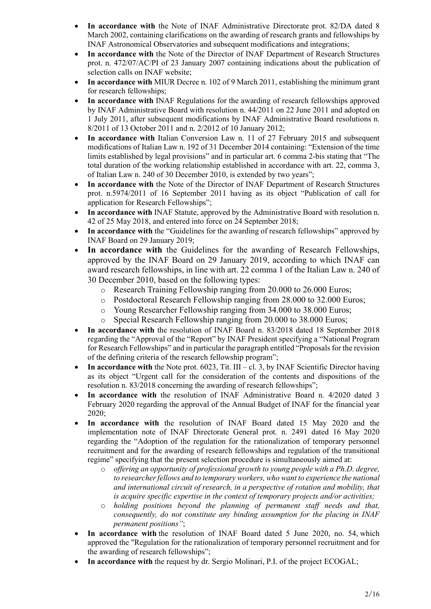- In accordance with the Note of INAF Administrative Directorate prot. 82/DA dated 8 March 2002, containing clarifications on the awarding of research grants and fellowships by INAF Astronomical Observatories and subsequent modifications and integrations;
- In accordance with the Note of the Director of INAF Department of Research Structures prot. n. 472/07/AC/PI of 23 January 2007 containing indications about the publication of selection calls on INAF website;
- In accordance with MIUR Decree n. 102 of 9 March 2011, establishing the minimum grant for research fellowships;
- In accordance with INAF Regulations for the awarding of research fellowships approved by INAF Administrative Board with resolution n. 44/2011 on 22 June 2011 and adopted on 1 July 2011, after subsequent modifications by INAF Administrative Board resolutions n. 8/2011 of 13 October 2011 and n. 2/2012 of 10 January 2012;
- In accordance with Italian Conversion Law n. 11 of 27 February 2015 and subsequent modifications of Italian Law n. 192 of 31 December 2014 containing: "Extension of the time limits established by legal provisions" and in particular art. 6 comma 2-bis stating that "The total duration of the working relationship established in accordance with art. 22, comma 3, of Italian Law n. 240 of 30 December 2010, is extended by two years";
- In accordance with the Note of the Director of INAF Department of Research Structures prot. n.5974/2011 of 16 September 2011 having as its object "Publication of call for application for Research Fellowships";
- In accordance with INAF Statute, approved by the Administrative Board with resolution n. 42 of 25 May 2018, and entered into force on 24 September 2018;
- In accordance with the "Guidelines for the awarding of research fellowships" approved by INAF Board on 29 January 2019;
- In accordance with the Guidelines for the awarding of Research Fellowships, approved by the INAF Board on 29 January 2019, according to which INAF can award research fellowships, in line with art. 22 comma 1 of the Italian Law n. 240 of 30 December 2010, based on the following types:
	- o Research Training Fellowship ranging from 20.000 to 26.000 Euros;
	- o Postdoctoral Research Fellowship ranging from 28.000 to 32.000 Euros;
	- o Young Researcher Fellowship ranging from 34.000 to 38.000 Euros;
	- o Special Research Fellowship ranging from 20.000 to 38.000 Euros;
- In accordance with the resolution of INAF Board n. 83/2018 dated 18 September 2018 regarding the "Approval of the "Report" by INAF President specifying a "National Program for Research Fellowships" and in particular the paragraph entitled "Proposals for the revision of the defining criteria of the research fellowship program";
- In accordance with the Note prot.  $6023$ , Tit. III cl. 3, by INAF Scientific Director having as its object "Urgent call for the consideration of the contents and dispositions of the resolution n. 83/2018 concerning the awarding of research fellowships";
- In accordance with the resolution of INAF Administrative Board n. 4/2020 dated 3 February 2020 regarding the approval of the Annual Budget of INAF for the financial year 2020;
- In accordance with the resolution of INAF Board dated 15 May 2020 and the implementation note of INAF Directorate General prot. n. 2491 dated 16 May 2020 regarding the "Adoption of the regulation for the rationalization of temporary personnel recruitment and for the awarding of research fellowships and regulation of the transitional regime" specifying that the present selection procedure is simultaneously aimed at:
	- $\circ$  offering an opportunity of professional growth to young people with a Ph.D. degree, to researcher fellows and to temporary workers, who want to experience the national and international circuit of research, in a perspective of rotation and mobility, that is acquire specific expertise in the context of temporary projects and/or activities;
	- $\circ$  holding positions beyond the planning of permanent staff needs and that, consequently, do not constitute any binding assumption for the placing in INAF permanent positions";
- In accordance with the resolution of INAF Board dated 5 June 2020, no. 54, which approved the "Regulation for the rationalization of temporary personnel recruitment and for the awarding of research fellowships";
- In accordance with the request by dr. Sergio Molinari, P.I. of the project ECOGAL;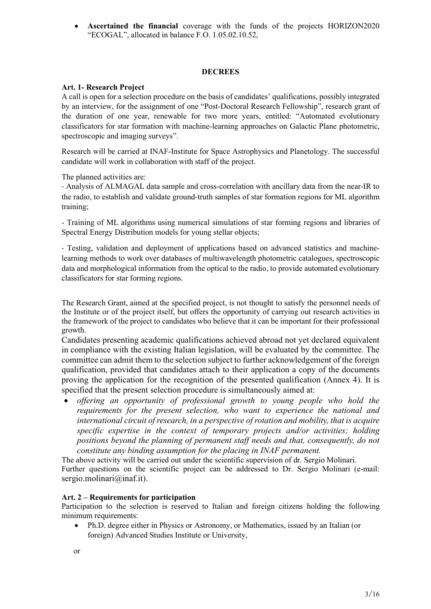Ascertained the financial coverage with the funds of the projects HORIZON2020 "ECOGAL", allocated in balance F.O. 1.05.02.10.52,

#### **DECREES**

#### Art. 1- Research Project

A call is open for a selection procedure on the basis of candidates' qualifications, possibly integrated by an interview, for the assignment of one "Post-Doctoral Research Fellowship", research grant of the duration of one year, renewable for two more years, entitled: "Automated evolutionary classificators for star formation with machine-learning approaches on Galactic Plane photometric, spectroscopic and imaging surveys".

Research will be carried at INAF-Institute for Space Astrophysics and Planetology. The successful candidate will work in collaboration with staff of the project.

The planned activities are:

- Analysis of ALMAGAL data sample and cross-correlation with ancillary data from the near-IR to the radio, to establish and validate ground-truth samples of star formation regions for ML algorithm training;

- Training of ML algorithms using numerical simulations of star forming regions and libraries of Spectral Energy Distribution models for young stellar objects;

- Testing, validation and deployment of applications based on advanced statistics and machinelearning methods to work over databases of multiwavelength photometric catalogues, spectroscopic data and morphological information from the optical to the radio, to provide automated evolutionary classificators for star forming regions.

The Research Grant, aimed at the specified project, is not thought to satisfy the personnel needs of the Institute or of the project itself, but offers the opportunity of carrying out research activities in the framework of the project to candidates who believe that it can be important for their professional growth.

Candidates presenting academic qualifications achieved abroad not yet declared equivalent in compliance with the existing Italian legislation, will be evaluated by the committee. The committee can admit them to the selection subject to further acknowledgement of the foreign qualification, provided that candidates attach to their application a copy of the documents proving the application for the recognition of the presented qualification (Annex 4). It is specified that the present selection procedure is simultaneously aimed at:

• offering an opportunity of professional growth to young people who hold the requirements for the present selection, who want to experience the national and international circuit of research, in a perspective of rotation and mobility, that is acquire specific expertise in the context of temporary projects and/or activities; holding positions beyond the planning of permanent staff needs and that, consequently, do not constitute any binding assumption for the placing in INAF permanent.

The above activity will be carried out under the scientific supervision of dr. Sergio Molinari. Further questions on the scientific project can be addressed to Dr. Sergio Molinari (e-mail: sergio.molinari@inaf.it).

#### Art. 2 – Requirements for participation

Participation to the selection is reserved to Italian and foreign citizens holding the following minimum requirements:

 Ph.D. degree either in Physics or Astronomy, or Mathematics, issued by an Italian (or foreign) Advanced Studies Institute or University,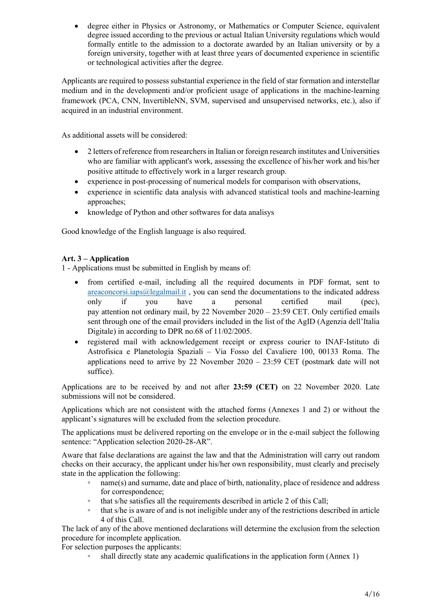degree either in Physics or Astronomy, or Mathematics or Computer Science, equivalent degree issued according to the previous or actual Italian University regulations which would formally entitle to the admission to a doctorate awarded by an Italian university or by a foreign university, together with at least three years of documented experience in scientific or technological activities after the degree.

Applicants are required to possess substantial experience in the field of star formation and interstellar medium and in the developmenti and/or proficient usage of applications in the machine-learning framework (PCA, CNN, InvertibleNN, SVM, supervised and unsupervised networks, etc.), also if acquired in an industrial environment.

As additional assets will be considered:

- 2 letters of reference from researchers in Italian or foreign research institutes and Universities who are familiar with applicant's work, assessing the excellence of his/her work and his/her positive attitude to effectively work in a larger research group.
- experience in post-processing of numerical models for comparison with observations,
- experience in scientific data analysis with advanced statistical tools and machine-learning approaches;
- knowledge of Python and other softwares for data analisys

Good knowledge of the English language is also required.

# Art. 3 – Application

1 - Applications must be submitted in English by means of:

- from certified e-mail, including all the required documents in PDF format, sent to areaconcorsi.iaps@legalmail.it , you can send the documentations to the indicated address only if you have a personal certified mail (pec), pay attention not ordinary mail, by 22 November 2020 – 23:59 CET. Only certified emails sent through one of the email providers included in the list of the AgID (Agenzia dell'Italia Digitale) in according to DPR no.68 of 11/02/2005.
- registered mail with acknowledgement receipt or express courier to INAF-Istituto di Astrofisica e Planetologia Spaziali – Via Fosso del Cavaliere 100, 00133 Roma. The applications need to arrive by 22 November  $2020 - 23:59$  CET (postmark date will not suffice).

Applications are to be received by and not after 23:59 (CET) on 22 November 2020. Late submissions will not be considered.

Applications which are not consistent with the attached forms (Annexes 1 and 2) or without the applicant's signatures will be excluded from the selection procedure.

The applications must be delivered reporting on the envelope or in the e-mail subject the following sentence: "Application selection 2020-28-AR".

Aware that false declarations are against the law and that the Administration will carry out random checks on their accuracy, the applicant under his/her own responsibility, must clearly and precisely state in the application the following:

- name(s) and surname, date and place of birth, nationality, place of residence and address for correspondence;
- that s/he satisfies all the requirements described in article 2 of this Call;
- that s/he is aware of and is not ineligible under any of the restrictions described in article 4 of this Call.

The lack of any of the above mentioned declarations will determine the exclusion from the selection procedure for incomplete application.

For selection purposes the applicants:

shall directly state any academic qualifications in the application form (Annex 1)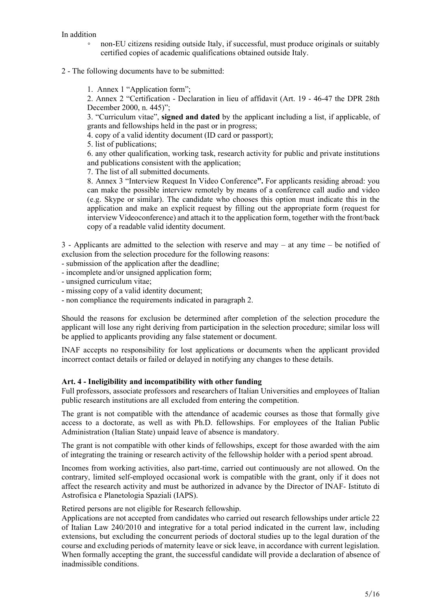#### In addition

- non-EU citizens residing outside Italy, if successful, must produce originals or suitably certified copies of academic qualifications obtained outside Italy.
- 2 The following documents have to be submitted:
	- 1. Annex 1 "Application form";

2. Annex 2 "Certification - Declaration in lieu of affidavit (Art. 19 - 46-47 the DPR 28th December 2000, n. 445)";

3. "Curriculum vitae", signed and dated by the applicant including a list, if applicable, of grants and fellowships held in the past or in progress;

4. copy of a valid identity document (ID card or passport);

5. list of publications;

6. any other qualification, working task, research activity for public and private institutions and publications consistent with the application;

7. The list of all submitted documents.

 8. Annex 3 "Interview Request In Video Conference". For applicants residing abroad: you can make the possible interview remotely by means of a conference call audio and video (e.g. Skype or similar). The candidate who chooses this option must indicate this in the application and make an explicit request by filling out the appropriate form (request for interview Videoconference) and attach it to the application form, together with the front/back copy of a readable valid identity document.

3 - Applicants are admitted to the selection with reserve and may – at any time – be notified of exclusion from the selection procedure for the following reasons:

- submission of the application after the deadline;
- incomplete and/or unsigned application form;
- unsigned curriculum vitae;
- missing copy of a valid identity document;
- non compliance the requirements indicated in paragraph 2.

Should the reasons for exclusion be determined after completion of the selection procedure the applicant will lose any right deriving from participation in the selection procedure; similar loss will be applied to applicants providing any false statement or document.

INAF accepts no responsibility for lost applications or documents when the applicant provided incorrect contact details or failed or delayed in notifying any changes to these details.

## Art. 4 - Ineligibility and incompatibility with other funding

Full professors, associate professors and researchers of Italian Universities and employees of Italian public research institutions are all excluded from entering the competition.

The grant is not compatible with the attendance of academic courses as those that formally give access to a doctorate, as well as with Ph.D. fellowships. For employees of the Italian Public Administration (Italian State) unpaid leave of absence is mandatory.

The grant is not compatible with other kinds of fellowships, except for those awarded with the aim of integrating the training or research activity of the fellowship holder with a period spent abroad.

Incomes from working activities, also part-time, carried out continuously are not allowed. On the contrary, limited self-employed occasional work is compatible with the grant, only if it does not affect the research activity and must be authorized in advance by the Director of INAF- Istituto di Astrofisica e Planetologia Spaziali (IAPS).

Retired persons are not eligible for Research fellowship.

Applications are not accepted from candidates who carried out research fellowships under article 22 of Italian Law 240/2010 and integrative for a total period indicated in the current law, including extensions, but excluding the concurrent periods of doctoral studies up to the legal duration of the course and excluding periods of maternity leave or sick leave, in accordance with current legislation. When formally accepting the grant, the successful candidate will provide a declaration of absence of inadmissible conditions.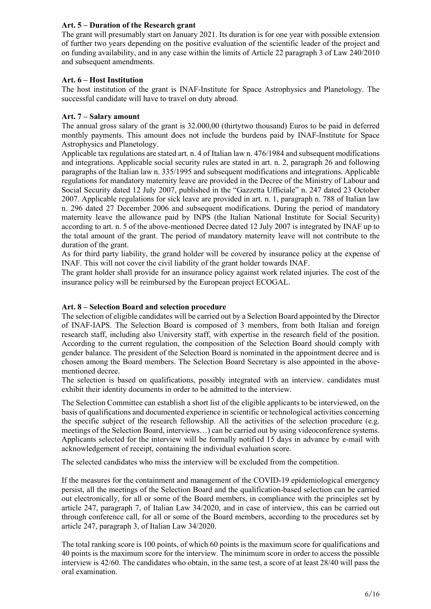## Art. 5 – Duration of the Research grant

The grant will presumably start on January 2021. Its duration is for one year with possible extension of further two years depending on the positive evaluation of the scientific leader of the project and on funding availability, and in any case within the limits of Article 22 paragraph 3 of Law 240/2010 and subsequent amendments.

## Art. 6 – Host Institution

The host institution of the grant is INAF-Institute for Space Astrophysics and Planetology. The successful candidate will have to travel on duty abroad.

## Art. 7 – Salary amount

The annual gross salary of the grant is 32.000,00 (thirtytwo thousand) Euros to be paid in deferred monthly payments. This amount does not include the burdens paid by INAF-Institute for Space Astrophysics and Planetology.

Applicable tax regulations are stated art. n. 4 of Italian law n. 476/1984 and subsequent modifications and integrations. Applicable social security rules are stated in art. n. 2, paragraph 26 and following paragraphs of the Italian law n. 335/1995 and subsequent modifications and integrations. Applicable regulations for mandatory maternity leave are provided in the Decree of the Ministry of Labour and Social Security dated 12 July 2007, published in the "Gazzetta Ufficiale" n. 247 dated 23 October 2007. Applicable regulations for sick leave are provided in art. n. 1, paragraph n. 788 of Italian law n. 296 dated 27 December 2006 and subsequent modifications. During the period of mandatory maternity leave the allowance paid by INPS (the Italian National Institute for Social Security) according to art. n. 5 of the above-mentioned Decree dated 12 July 2007 is integrated by INAF up to the total amount of the grant. The period of mandatory maternity leave will not contribute to the duration of the grant.

As for third party liability, the grand holder will be covered by insurance policy at the expense of INAF. This will not cover the civil liability of the grant holder towards INAF.

The grant holder shall provide for an insurance policy against work related injuries. The cost of the insurance policy will be reimbursed by the European project ECOGAL.

## Art. 8 – Selection Board and selection procedure

The selection of eligible candidates will be carried out by a Selection Board appointed by the Director of INAF-IAPS. The Selection Board is composed of 3 members, from both Italian and foreign research staff, including also University staff, with expertise in the research field of the position. According to the current regulation, the composition of the Selection Board should comply with gender balance. The president of the Selection Board is nominated in the appointment decree and is chosen among the Board members. The Selection Board Secretary is also appointed in the abovementioned decree.

The selection is based on qualifications, possibly integrated with an interview. candidates must exhibit their identity documents in order to be admitted to the interview.

The Selection Committee can establish a short list of the eligible applicants to be interviewed, on the basis of qualifications and documented experience in scientific or technological activities concerning the specific subject of the research fellowship. All the activities of the selection procedure (e.g. meetings of the Selection Board, interviews…) can be carried out by using videoconference systems. Applicants selected for the interview will be formally notified 15 days in advance by e-mail with acknowledgement of receipt, containing the individual evaluation score.

The selected candidates who miss the interview will be excluded from the competition.

If the measures for the containment and management of the COVID-19 epidemiological emergency persist, all the meetings of the Selection Board and the qualification-based selection can be carried out electronically, for all or some of the Board members, in compliance with the principles set by article 247, paragraph 7, of Italian Law 34/2020, and in case of interview, this can be carried out through conference call, for all or some of the Board members, according to the procedures set by article 247, paragraph 3, of Italian Law 34/2020.

The total ranking score is 100 points, of which 60 points is the maximum score for qualifications and 40 points is the maximum score for the interview. The minimum score in order to access the possible interview is 42/60. The candidates who obtain, in the same test, a score of at least 28/40 will pass the oral examination.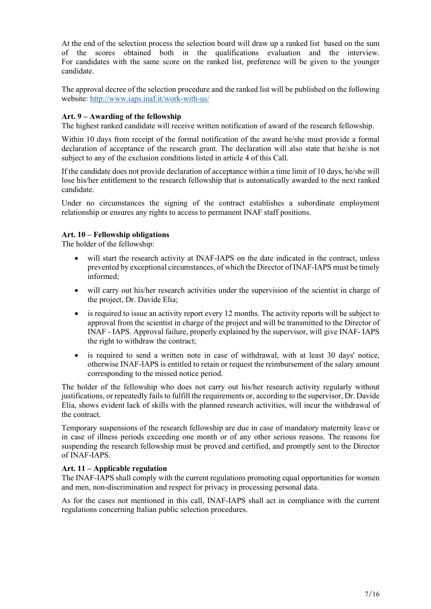At the end of the selection process the selection board will draw up a ranked list based on the sum of the scores obtained both in the qualifications evaluation and the interview. For candidates with the same score on the ranked list, preference will be given to the younger candidate.

The approval decree of the selection procedure and the ranked list will be published on the following website: http://www.iaps.inaf.it/work-with-us/

## Art. 9 – Awarding of the fellowship

The highest ranked candidate will receive written notification of award of the research fellowship.

Within 10 days from receipt of the formal notification of the award he/she must provide a formal declaration of acceptance of the research grant. The declaration will also state that he/she is not subject to any of the exclusion conditions listed in article 4 of this Call.

If the candidate does not provide declaration of acceptance within a time limit of 10 days, he/she will lose his/her entitlement to the research fellowship that is automatically awarded to the next ranked candidate.

Under no circumstances the signing of the contract establishes a subordinate employment relationship or ensures any rights to access to permanent INAF staff positions.

#### Art. 10 – Fellowship obligations

The holder of the fellowship:

- will start the research activity at INAF-IAPS on the date indicated in the contract, unless prevented by exceptional circumstances, of which the Director of INAF-IAPS must be timely informed;
- will carry out his/her research activities under the supervision of the scientist in charge of the project, Dr. Davide Elia;
- $\bullet$  is required to issue an activity report every 12 months. The activity reports will be subject to approval from the scientist in charge of the project and will be transmitted to the Director of INAF - IAPS. Approval failure, properly explained by the supervisor, will give INAF- IAPS the right to withdraw the contract;
- is required to send a written note in case of withdrawal, with at least 30 days' notice, otherwise INAF-IAPS is entitled to retain or request the reimbursement of the salary amount corresponding to the missed notice period.

The holder of the fellowship who does not carry out his/her research activity regularly without justifications, or repeatedly fails to fulfill the requirements or, according to the supervisor, Dr. Davide Elia, shows evident lack of skills with the planned research activities, will incur the withdrawal of the contract.

Temporary suspensions of the research fellowship are due in case of mandatory maternity leave or in case of illness periods exceeding one month or of any other serious reasons. The reasons for suspending the research fellowship must be proved and certified, and promptly sent to the Director of INAF-IAPS.

#### Art. 11 – Applicable regulation

The INAF-IAPS shall comply with the current regulations promoting equal opportunities for women and men, non-discrimination and respect for privacy in processing personal data.

As for the cases not mentioned in this call, INAF-IAPS shall act in compliance with the current regulations concerning Italian public selection procedures.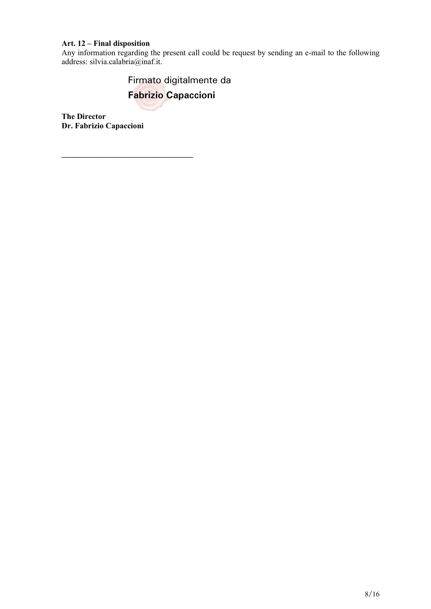# Art. 12 – Final disposition

Any information regarding the present call could be request by sending an e-mail to the following address: silvia.calabria@inaf.it.

> Firmato digitalmente da **Fabrizio Capaccioni**

The Director Dr. Fabrizio Capaccioni

\_\_\_\_\_\_\_\_\_\_\_\_\_\_\_\_\_\_\_\_\_\_\_\_\_\_\_\_\_\_\_\_\_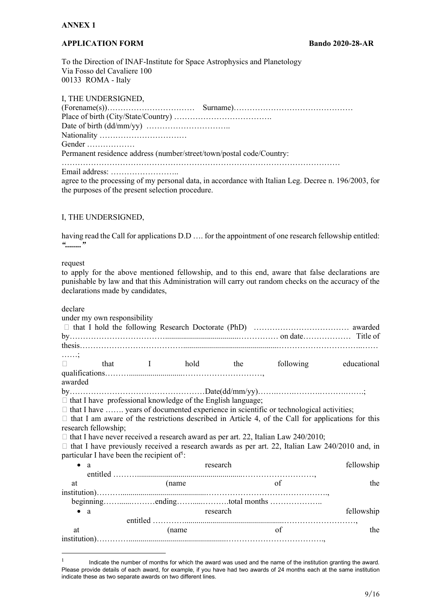## ANNEX 1

## APPLICATION FORM Bando 2020-28-AR

To the Direction of INAF-Institute for Space Astrophysics and Planetology Via Fosso del Cavaliere 100 00133 ROMA - Italy

#### I, THE UNDERSIGNED,

| Gender                                                               |                                                                                                      |
|----------------------------------------------------------------------|------------------------------------------------------------------------------------------------------|
| Permanent residence address (number/street/town/postal code/Country: |                                                                                                      |
|                                                                      |                                                                                                      |
|                                                                      | agree to the processing of my personal data, in accordance with Italian Leg. Decree n. 196/2003, for |

## I, THE UNDERSIGNED,

the purposes of the present selection procedure.

having read the Call for applications D.D …. for the appointment of one research fellowship entitled:  $\frac{a}{\ldots}$ 

#### request

to apply for the above mentioned fellowship, and to this end, aware that false declarations are punishable by law and that this Administration will carry out random checks on the accuracy of the declarations made by candidates,

| declare                                                            |                 |  |                                                                                                          |             |
|--------------------------------------------------------------------|-----------------|--|----------------------------------------------------------------------------------------------------------|-------------|
| under my own responsibility                                        |                 |  |                                                                                                          |             |
|                                                                    |                 |  |                                                                                                          |             |
|                                                                    |                 |  |                                                                                                          |             |
|                                                                    |                 |  |                                                                                                          |             |
| . ;                                                                |                 |  |                                                                                                          |             |
|                                                                    | that I hold the |  | following                                                                                                | educational |
|                                                                    |                 |  |                                                                                                          |             |
| awarded                                                            |                 |  |                                                                                                          |             |
|                                                                    |                 |  |                                                                                                          |             |
| $\Box$ that I have professional knowledge of the English language; |                 |  |                                                                                                          |             |
|                                                                    |                 |  | $\Box$ that I have  years of documented experience in scientific or technological activities;            |             |
|                                                                    |                 |  | $\Box$ that I am aware of the restrictions described in Article 4, of the Call for applications for this |             |
| research fellowship;                                               |                 |  |                                                                                                          |             |
|                                                                    |                 |  | $\Box$ that I have never received a research award as per art. 22, Italian Law 240/2010;                 |             |
|                                                                    |                 |  | $\Box$ that I have previously received a research awards as per art. 22, Italian Law 240/2010 and, in    |             |
| particular I have been the recipient of !:                         |                 |  |                                                                                                          |             |
| $\bullet$ a                                                        | research        |  | fellowship                                                                                               |             |
|                                                                    |                 |  |                                                                                                          |             |
| at                                                                 | (name           |  | of                                                                                                       | the         |
|                                                                    |                 |  |                                                                                                          |             |
|                                                                    |                 |  |                                                                                                          |             |
| $\bullet$ a                                                        | research        |  | fellowship                                                                                               |             |
|                                                                    |                 |  |                                                                                                          |             |
| at                                                                 | (name           |  | of                                                                                                       | the         |
|                                                                    |                 |  |                                                                                                          |             |

<sup>1</sup> Indicate the number of months for which the award was used and the name of the institution granting the award. Please provide details of each award, for example, if you have had two awards of 24 months each at the same institution indicate these as two separate awards on two different lines.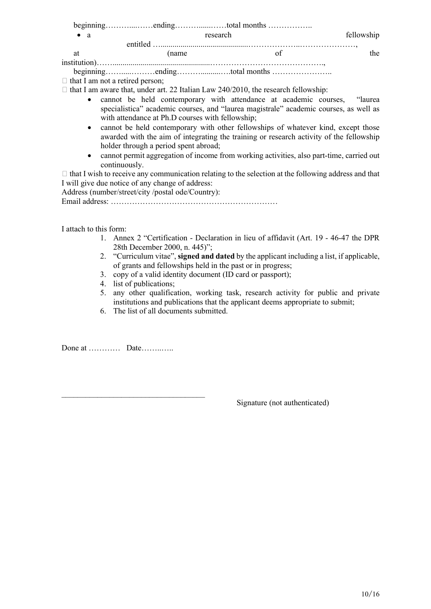| $\bullet$ a |       | research | fellowship |
|-------------|-------|----------|------------|
|             |       |          |            |
| at          | (name |          | the        |
|             |       |          |            |

beginning…….....………ending………..........….total months …………………..

 $\Box$  that I am not a retired person;

 $\Box$  that I am aware that, under art. 22 Italian Law 240/2010, the research fellowship:

- cannot be held contemporary with attendance at academic courses, "laurea specialistica" academic courses, and "laurea magistrale" academic courses, as well as with attendance at Ph.D courses with fellowship;
- cannot be held contemporary with other fellowships of whatever kind, except those awarded with the aim of integrating the training or research activity of the fellowship holder through a period spent abroad;
- cannot permit aggregation of income from working activities, also part-time, carried out continuously.

 $\Box$  that I wish to receive any communication relating to the selection at the following address and that I will give due notice of any change of address:

Address (number/street/city /postal ode/Country): Email address: ………………………………………………………

I attach to this form:

- 1. Annex 2 "Certification Declaration in lieu of affidavit (Art. 19 46-47 the DPR 28th December 2000, n. 445)";
- 2. "Curriculum vitae", signed and dated by the applicant including a list, if applicable, of grants and fellowships held in the past or in progress;
- 3. copy of a valid identity document (ID card or passport);
- 4. list of publications;
- 5. any other qualification, working task, research activity for public and private institutions and publications that the applicant deems appropriate to submit;
- 6. The list of all documents submitted.

Done at ………… Date……..…..

Signature (not authenticated)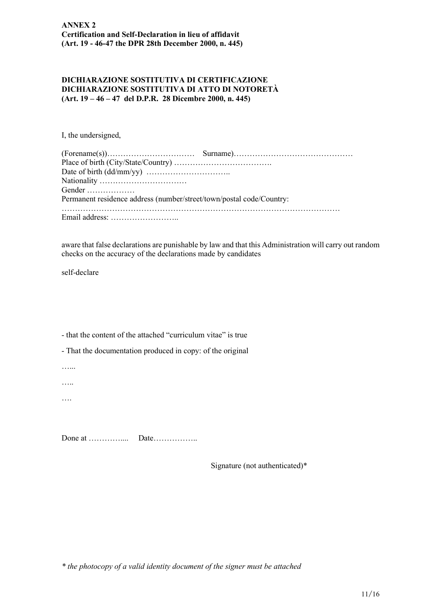#### DICHIARAZIONE SOSTITUTIVA DI CERTIFICAZIONE DICHIARAZIONE SOSTITUTIVA DI ATTO DI NOTORETÀ (Art. 19 – 46 – 47 del D.P.R. 28 Dicembre 2000, n. 445)

I, the undersigned,

| Gender                                                               |  |
|----------------------------------------------------------------------|--|
| Permanent residence address (number/street/town/postal code/Country: |  |
|                                                                      |  |
|                                                                      |  |

aware that false declarations are punishable by law and that this Administration will carry out random checks on the accuracy of the declarations made by candidates

self-declare

- that the content of the attached "curriculum vitae" is true

- That the documentation produced in copy: of the original

…...

…..

….

Done at ………….... Date……………..

Signature (not authenticated)\*

\* the photocopy of a valid identity document of the signer must be attached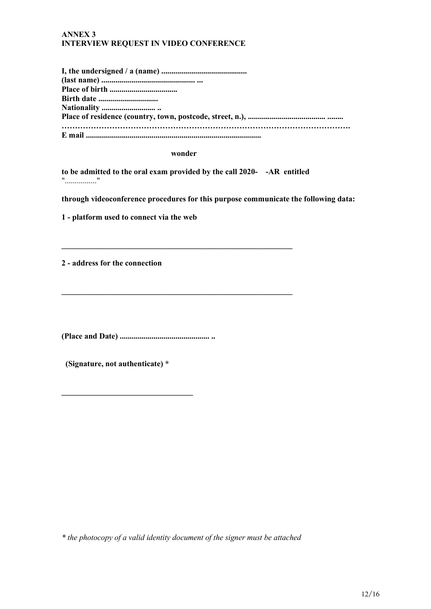### ANNEX 3 INTERVIEW REQUEST IN VIDEO CONFERENCE

| <b>Birth date </b> |
|--------------------|
|                    |
|                    |
|                    |
|                    |

wonder

to be admitted to the oral exam provided by the call 2020- -AR entitled "................"

 $\mathcal{L}_\text{max}$  , and the contribution of the contribution of the contribution of the contribution of the contribution of the contribution of the contribution of the contribution of the contribution of the contribution of t

\_\_\_\_\_\_\_\_\_\_\_\_\_\_\_\_\_\_\_\_\_\_\_\_\_\_\_\_\_\_\_\_\_\_\_\_\_\_\_\_\_\_\_\_\_\_\_\_\_\_\_\_\_\_\_\_\_\_

through videoconference procedures for this purpose communicate the following data:

1 - platform used to connect via the web

2 - address for the connection

(Place and Date) ............................................. ..

(Signature, not authenticate) \*

\_\_\_\_\_\_\_\_\_\_\_\_\_\_\_\_\_\_\_\_\_\_\_\_\_\_\_\_\_\_\_\_\_

\* the photocopy of a valid identity document of the signer must be attached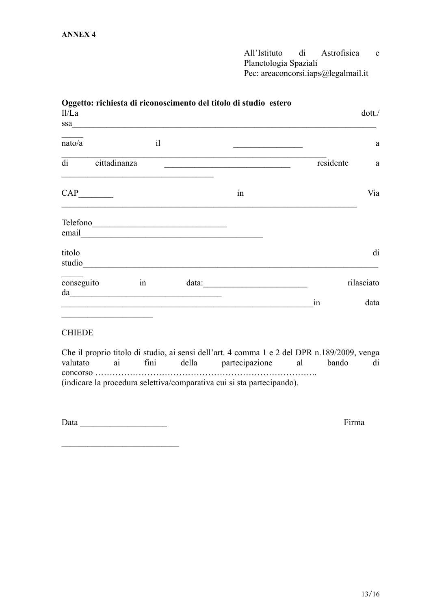All'Istituto di Astrofisica e Planetologia Spaziali Pec: areaconcorsi.iaps@legalmail.it

| II/La                                                                                                                                                                                                                                            |            |                                                                                                                        | Oggetto: richiesta di riconoscimento del titolo di studio estero                                                      |                                                                                                      | dot.       |
|--------------------------------------------------------------------------------------------------------------------------------------------------------------------------------------------------------------------------------------------------|------------|------------------------------------------------------------------------------------------------------------------------|-----------------------------------------------------------------------------------------------------------------------|------------------------------------------------------------------------------------------------------|------------|
|                                                                                                                                                                                                                                                  |            |                                                                                                                        | $ssa$                                                                                                                 |                                                                                                      |            |
| nato/a                                                                                                                                                                                                                                           | i          |                                                                                                                        |                                                                                                                       |                                                                                                      | a          |
| di cittadinanza                                                                                                                                                                                                                                  |            |                                                                                                                        | <u> 1989 - Johann John Stone, markin film yn y brening yn y brening yn y brening yn y brening yn y brening yn y b</u> | residente                                                                                            | a          |
| $CAP$ <sub>__________</sub>                                                                                                                                                                                                                      |            |                                                                                                                        | in                                                                                                                    |                                                                                                      | Via        |
| Telefono<br>email <u>contract and contract and contract and contract and contract of the set of the set of the set of the set of the set of the set of the set of the set of the set of the set of the set of the set of the set of the set </u> |            |                                                                                                                        |                                                                                                                       |                                                                                                      |            |
| titolo<br>studio                                                                                                                                                                                                                                 |            | <u> 1989 - Johann Stoff, deutscher Stoffen und der Stoffen und der Stoffen und der Stoffen und der Stoffen und der</u> |                                                                                                                       |                                                                                                      | di         |
| conseguito                                                                                                                                                                                                                                       | in         |                                                                                                                        | $data: \underline{\hspace{2.5cm}}$                                                                                    |                                                                                                      | rilasciato |
| the control of the control of the control of the control of the control of                                                                                                                                                                       |            |                                                                                                                        |                                                                                                                       | in                                                                                                   | data       |
| <b>CHIEDE</b>                                                                                                                                                                                                                                    |            |                                                                                                                        |                                                                                                                       |                                                                                                      |            |
| valutato                                                                                                                                                                                                                                         | ai<br>fini |                                                                                                                        | della partecipazione al<br>(indicare la procedura selettiva/comparativa cui si sta partecipando).                     | Che il proprio titolo di studio, ai sensi dell'art. 4 comma 1 e 2 del DPR n.189/2009, venga<br>bando | di         |
|                                                                                                                                                                                                                                                  |            |                                                                                                                        |                                                                                                                       |                                                                                                      |            |
| Data                                                                                                                                                                                                                                             |            |                                                                                                                        |                                                                                                                       | Firma                                                                                                |            |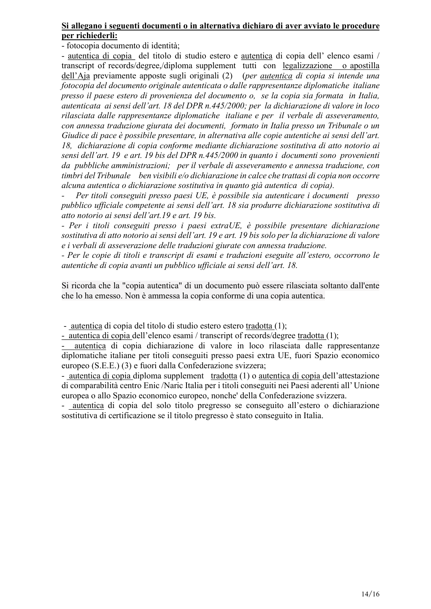# Si allegano i seguenti documenti o in alternativa dichiaro di aver avviato le procedure per richiederli:

- fotocopia documento di identità;

- autentica di copia del titolo di studio estero e autentica di copia dell' elenco esami / transcript of records/degree,/diploma supplement tutti con legalizzazione o apostilla dell'Aja previamente apposte sugli originali (2) (*per autentica di copia si intende una* fotocopia del documento originale autenticata o dalle rappresentanze diplomatiche italiane presso il paese estero di provenienza del documento o, se la copia sia formata in Italia, autenticata ai sensi dell'art. 18 del DPR n.445/2000; per la dichiarazione di valore in loco rilasciata dalle rappresentanze diplomatiche italiane e per il verbale di asseveramento, con annessa traduzione giurata dei documenti, formato in Italia presso un Tribunale o un Giudice di pace è possibile presentare, in alternativa alle copie autentiche ai sensi dell'art. 18, dichiarazione di copia conforme mediante dichiarazione sostitutiva di atto notorio ai sensi dell'art. 19 e art. 19 bis del DPR n.445/2000 in quanto i documenti sono provenienti da pubbliche amministrazioni; per il verbale di asseveramento e annessa traduzione, con timbri del Tribunale ben visibili e/o dichiarazione in calce che trattasi di copia non occorre alcuna autentica o dichiarazione sostitutiva in quanto già autentica di copia).

Per titoli conseguiti presso paesi UE, è possibile sia autenticare i documenti presso pubblico ufficiale competente ai sensi dell'art. 18 sia produrre dichiarazione sostitutiva di atto notorio ai sensi dell'art.19 e art. 19 bis.

- Per i titoli conseguiti presso i paesi extraUE, è possibile presentare dichiarazione sostitutiva di atto notorio ai sensi dell'art. 19 e art. 19 bis solo per la dichiarazione di valore e i verbali di asseverazione delle traduzioni giurate con annessa traduzione.

- Per le copie di titoli e transcript di esami e traduzioni eseguite all'estero, occorrono le autentiche di copia avanti un pubblico ufficiale ai sensi dell'art. 18.

Si ricorda che la "copia autentica" di un documento può essere rilasciata soltanto dall'ente che lo ha emesso. Non è ammessa la copia conforme di una copia autentica.

- autentica di copia del titolo di studio estero estero tradotta (1);

- autentica di copia dell'elenco esami / transcript of records/degree tradotta (1);

- autentica di copia dichiarazione di valore in loco rilasciata dalle rappresentanze diplomatiche italiane per titoli conseguiti presso paesi extra UE, fuori Spazio economico europeo (S.E.E.) (3) e fuori dalla Confederazione svizzera;

- autentica di copia diploma supplement tradotta (1) o autentica di copia dell'attestazione di comparabilità centro Enic /Naric Italia per i titoli conseguiti nei Paesi aderenti all' Unione europea o allo Spazio economico europeo, nonche' della Confederazione svizzera.

- autentica di copia del solo titolo pregresso se conseguito all'estero o dichiarazione sostitutiva di certificazione se il titolo pregresso è stato conseguito in Italia.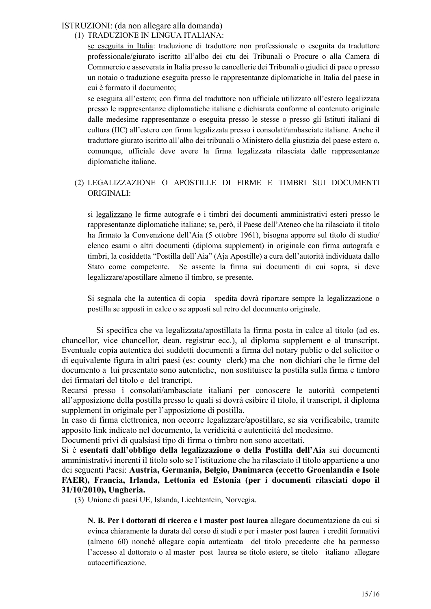# ISTRUZIONI: (da non allegare alla domanda)

# (1) TRADUZIONE IN LINGUA ITALIANA:

se eseguita in Italia: traduzione di traduttore non professionale o eseguita da traduttore professionale/giurato iscritto all'albo dei ctu dei Tribunali o Procure o alla Camera di Commercio e asseverata in Italia presso le cancellerie dei Tribunali o giudici di pace o presso un notaio o traduzione eseguita presso le rappresentanze diplomatiche in Italia del paese in cui è formato il documento;

se eseguita all'estero; con firma del traduttore non ufficiale utilizzato all'estero legalizzata presso le rappresentanze diplomatiche italiane e dichiarata conforme al contenuto originale dalle medesime rappresentanze o eseguita presso le stesse o presso gli Istituti italiani di cultura (IIC) all'estero con firma legalizzata presso i consolati/ambasciate italiane. Anche il traduttore giurato iscritto all'albo dei tribunali o Ministero della giustizia del paese estero o, comunque, ufficiale deve avere la firma legalizzata rilasciata dalle rappresentanze diplomatiche italiane.

# (2) LEGALIZZAZIONE O APOSTILLE DI FIRME E TIMBRI SUI DOCUMENTI ORIGINALI:

si legalizzano le firme autografe e i timbri dei documenti amministrativi esteri presso le rappresentanze diplomatiche italiane; se, però, il Paese dell'Ateneo che ha rilasciato il titolo ha firmato la Convenzione dell'Aia (5 ottobre 1961), bisogna apporre sul titolo di studio/ elenco esami o altri documenti (diploma supplement) in originale con firma autografa e timbri, la cosiddetta "Postilla dell'Aia" (Aja Apostille) a cura dell'autorità individuata dallo Stato come competente. Se assente la firma sui documenti di cui sopra, si deve legalizzare/apostillare almeno il timbro, se presente.

Si segnala che la autentica di copia spedita dovrà riportare sempre la legalizzazione o postilla se apposti in calce o se apposti sul retro del documento originale.

 Si specifica che va legalizzata/apostillata la firma posta in calce al titolo (ad es. chancellor, vice chancellor, dean, registrar ecc.), al diploma supplement e al transcript. Eventuale copia autentica dei suddetti documenti a firma del notary public o del solicitor o di equivalente figura in altri paesi (es: county clerk) ma che non dichiari che le firme del documento a lui presentato sono autentiche, non sostituisce la postilla sulla firma e timbro dei firmatari del titolo e del trancript.

Recarsi presso i consolati/ambasciate italiani per conoscere le autorità competenti all'apposizione della postilla presso le quali si dovrà esibire il titolo, il transcript, il diploma supplement in originale per l'apposizione di postilla.

In caso di firma elettronica, non occorre legalizzare/apostillare, se sia verificabile, tramite apposito link indicato nel documento, la veridicità e autenticità del medesimo.

Documenti privi di qualsiasi tipo di firma o timbro non sono accettati.

Si è esentati dall'obbligo della legalizzazione o della Postilla dell'Aia sui documenti amministrativi inerenti il titolo solo se l'istituzione che ha rilasciato il titolo appartiene a uno dei seguenti Paesi: Austria, Germania, Belgio, Danimarca (eccetto Groenlandia e Isole FAER), Francia, Irlanda, Lettonia ed Estonia (per i documenti rilasciati dopo il 31/10/2010), Ungheria.

(3) Unione di paesi UE, Islanda, Liechtentein, Norvegia.

N. B. Per i dottorati di ricerca e i master post laurea allegare documentazione da cui si evinca chiaramente la durata del corso di studi e per i master post laurea i crediti formativi (almeno 60) nonché allegare copia autenticata del titolo precedente che ha permesso l'accesso al dottorato o al master post laurea se titolo estero, se titolo italiano allegare autocertificazione.